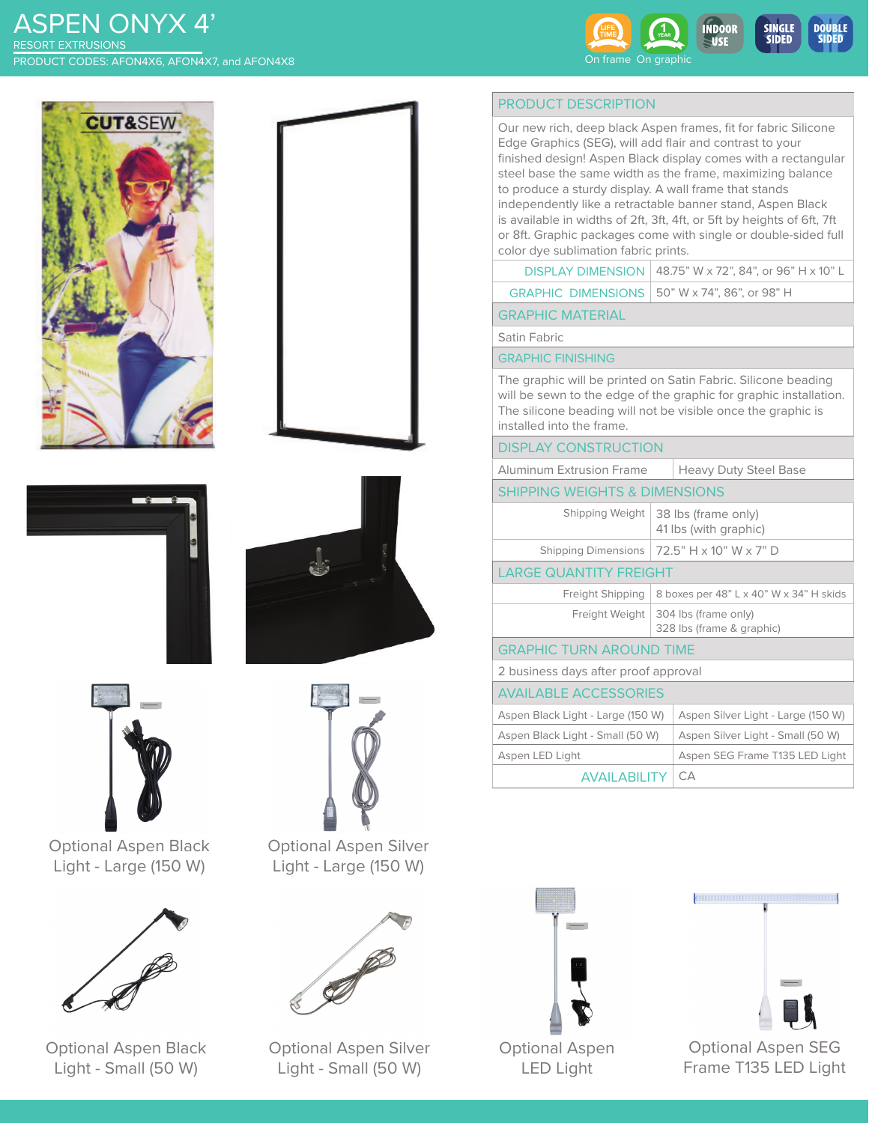# ASPEN ONYX 4' PRODUCT CODES: AFON4X6, AFON4X7, and AFON4X8 RESORT EXTRUSIONS













Optional Aspen Black Light - Large (150 W)



Optional Aspen Black Light - Small (50 W)



Optional Aspen Silver Light - Large (150 W)



Optional Aspen Silver Light - Small (50 W)

# PRODUCT DESCRIPTION

SIDED

SIDED

Our new rich, deep black Aspen frames, fit for fabric Silicone Edge Graphics (SEG), will add flair and contrast to your finished design! Aspen Black display comes with a rectangular steel base the same width as the frame, maximizing balance to produce a sturdy display. A wall frame that stands independently like a retractable banner stand, Aspen Black is available in widths of 2ft, 3ft, 4ft, or 5ft by heights of 6ft, 7ft or 8ft. Graphic packages come with single or double-sided full color dye sublimation fabric prints.

|  | <b>DISPLAY DIMENSION</b>   48.75" W x 72", 84", or 96" H x 10" L |
|--|------------------------------------------------------------------|
|--|------------------------------------------------------------------|

|  | GRAPHIC DIMENSIONS   50" W x 74", 86", or 98" H |
|--|-------------------------------------------------|
|--|-------------------------------------------------|

GRAPHIC MATERIAL

Satin Fabric

#### GRAPHIC FINISHING

The graphic will be printed on Satin Fabric. Silicone beading will be sewn to the edge of the graphic for graphic installation. The silicone beading will not be visible once the graphic is installed into the frame.

#### DISPLAY CONSTRUCTION

| Aluminum Extrusion Frame | Heavy Duty Steel Base |
|--------------------------|-----------------------|
|--------------------------|-----------------------|

### SHIPPING WEIGHTS & DIMENSIONS

| Shipping Weight                      | 38 lbs (frame only)<br>41 lbs (with graphic)                       |  |
|--------------------------------------|--------------------------------------------------------------------|--|
|                                      | Shipping Dimensions   $72.5$ " H x 10" W x 7" D                    |  |
| <b>LARGE QUANTITY FREIGHT</b>        |                                                                    |  |
| Freight Shipping                     | 8 boxes per 48" L x 40" W x 34" H skids                            |  |
|                                      | Freight Weight   304 lbs (frame only)<br>328 lbs (frame & graphic) |  |
| <b>GRAPHIC TURN AROUND TIME</b>      |                                                                    |  |
| 2 business days after proof approval |                                                                    |  |
| <b>AVAILABLE ACCESSORIES</b>         |                                                                    |  |

| AVAILADLL ACCLOSURILS             |                                    |
|-----------------------------------|------------------------------------|
| Aspen Black Light - Large (150 W) | Aspen Silver Light - Large (150 W) |
| Aspen Black Light - Small (50 W)  | Aspen Silver Light - Small (50 W)  |
| Aspen LED Light                   | Aspen SEG Frame T135 LED Light     |
| <b>AVAII ABILITY   CA</b>         |                                    |





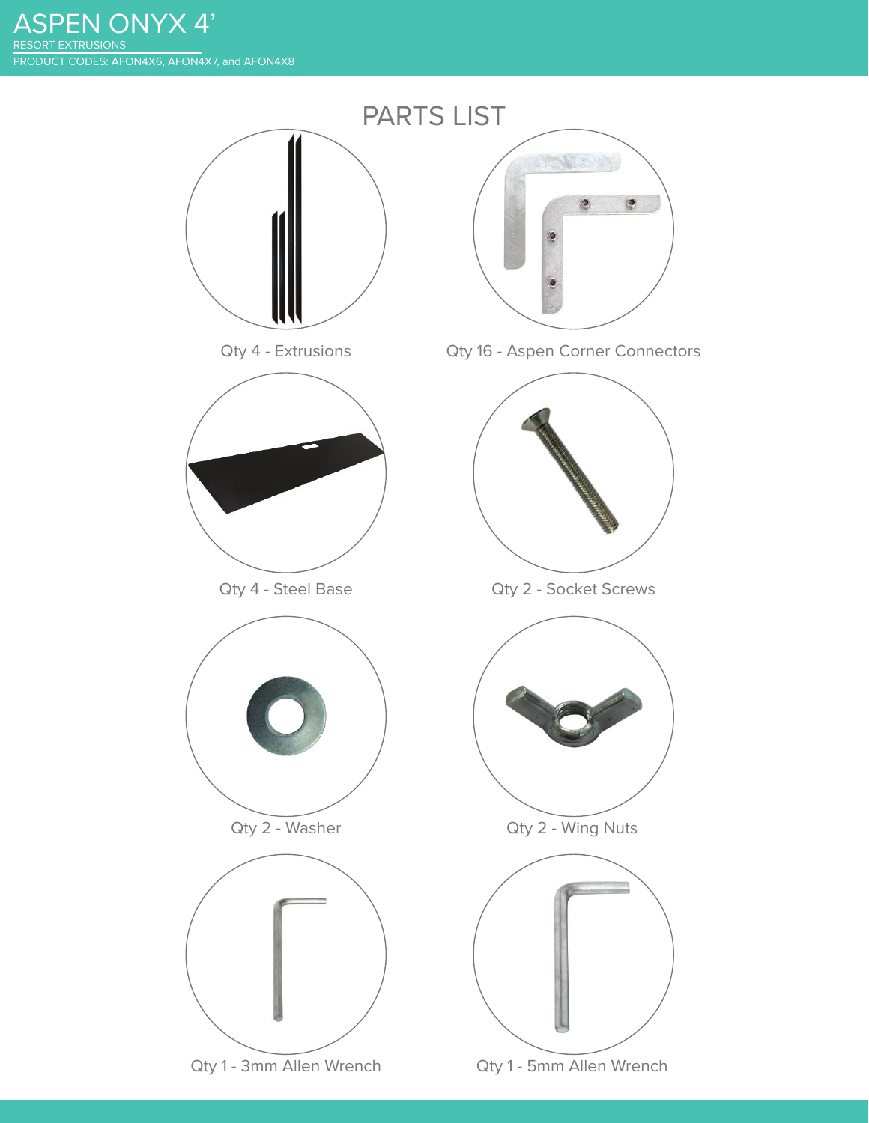ASPEN ONYX 4' PRODUCT CODES: AFON4X6, AFON4X7, and AFON4X8 RESORT EXTRUSIONS

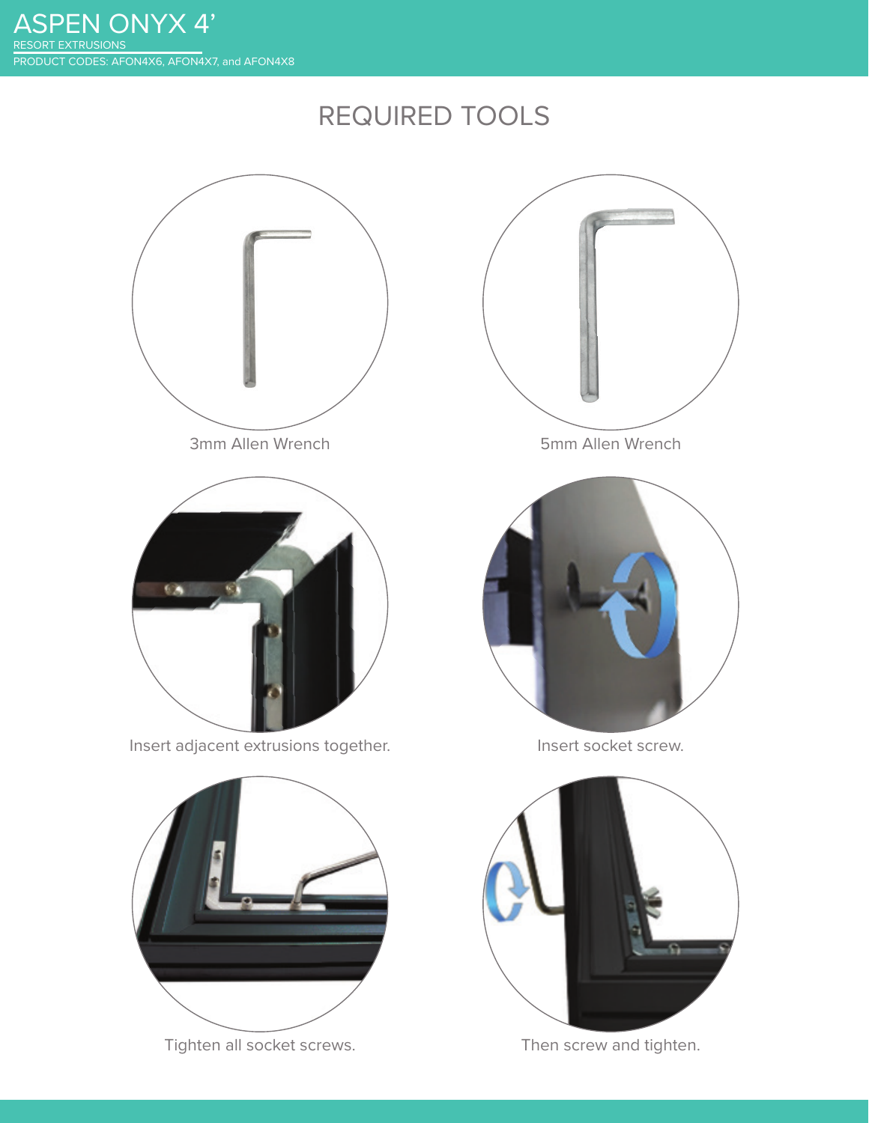# REQUIRED TOOLS



Tighten all socket screws. Then screw and tighten.

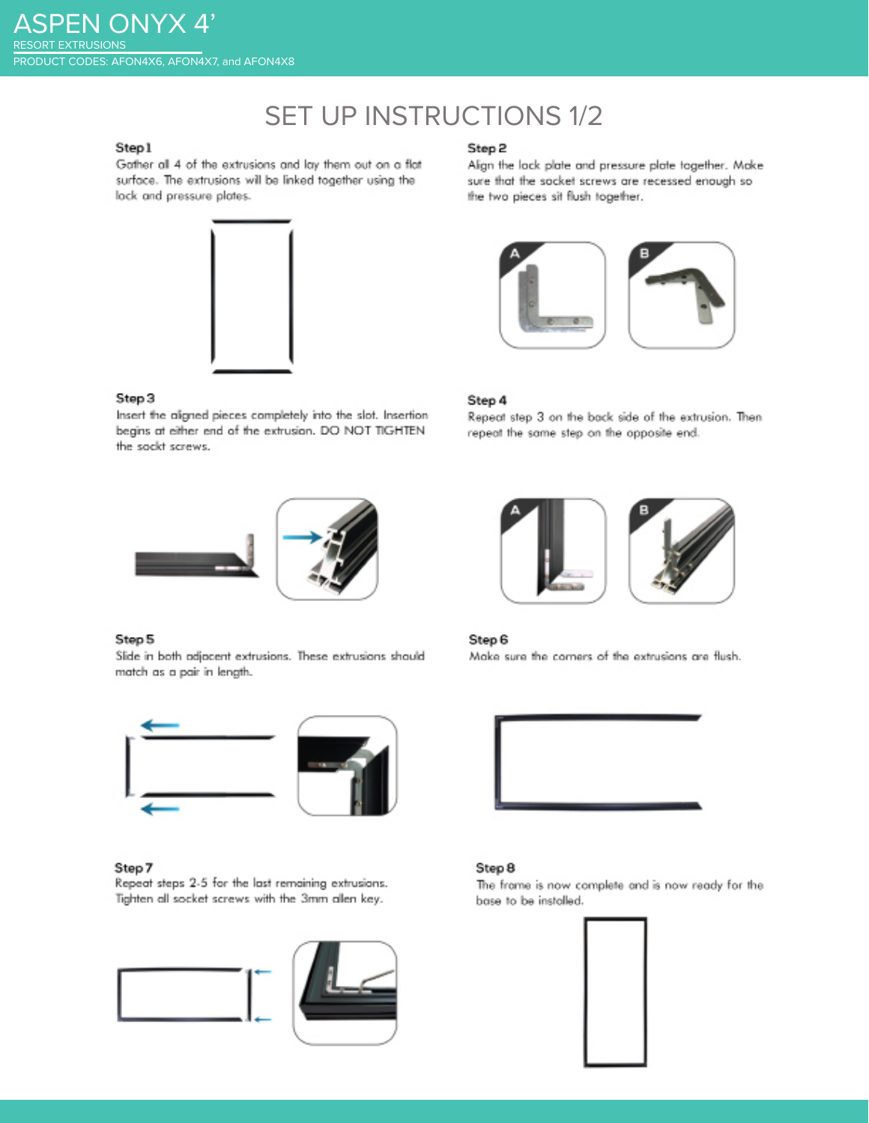# **SET UP INSTRUCTIONS 1/2**

# Step1

Gather all 4 of the extrusions and lay them out on a flat surface. The extrusions will be linked together using the lock and pressure plates.



#### Step 3

Insert the aligned pieces completely into the slot. Insertion begins at either end of the extrusion. DO NOT TIGHTEN the sockt screws.



#### Step 5

Slide in both adjacent extrusions. These extrusions should match as a pair in length.



#### Step 7

Repeat steps 2-5 for the last remaining extrusions. Tighten all socket screws with the 3mm allen key.



# Step 2

Align the lock plate and pressure plate together. Make sure that the socket screws are recessed enough so the two pieces sit flush together.



#### Step 4

Repeat step 3 on the back side of the extrusion. Then repeat the same step on the opposite end.



#### Step 6

Make sure the corners of the extrusions are flush.



#### Step 8

The frame is now complete and is now ready for the base to be installed.